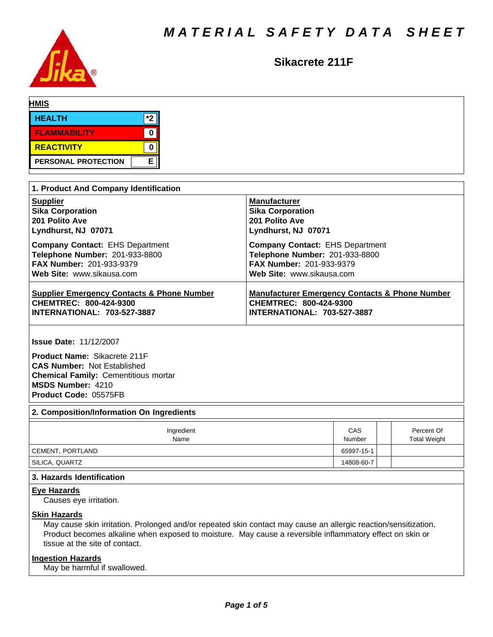

# Sikacrete 211F

| <b>HMIS</b>                |     |  |  |
|----------------------------|-----|--|--|
| <b>HEALTH</b>              | $*$ |  |  |
| <b>FLAMMABILITY</b>        |     |  |  |
| REACTIVITY                 |     |  |  |
| <b>PERSONAL PROTECTION</b> | E   |  |  |

| 1. Product And Company Identification                 |                                                           |  |  |  |  |
|-------------------------------------------------------|-----------------------------------------------------------|--|--|--|--|
| <b>Supplier</b>                                       | <b>Manufacturer</b>                                       |  |  |  |  |
| <b>Sika Corporation</b>                               | <b>Sika Corporation</b>                                   |  |  |  |  |
| 201 Polito Ave                                        | 201 Polito Ave                                            |  |  |  |  |
| Lyndhurst, NJ 07071                                   | Lyndhurst, NJ 07071                                       |  |  |  |  |
| <b>Company Contact: EHS Department</b>                | <b>Company Contact: EHS Department</b>                    |  |  |  |  |
| Telephone Number: 201-933-8800                        | Telephone Number: 201-933-8800                            |  |  |  |  |
| <b>FAX Number: 201-933-9379</b>                       | <b>FAX Number: 201-933-9379</b>                           |  |  |  |  |
| Web Site: www.sikausa.com                             | Web Site: www.sikausa.com                                 |  |  |  |  |
| <b>Supplier Emergency Contacts &amp; Phone Number</b> | <b>Manufacturer Emergency Contacts &amp; Phone Number</b> |  |  |  |  |
| CHEMTREC: 800-424-9300                                | CHEMTREC: 800-424-9300                                    |  |  |  |  |
| INTERNATIONAL: 703-527-3887                           | <b>INTERNATIONAL: 703-527-3887</b>                        |  |  |  |  |

**Issue Date:** 11/12/2007

**Product Name:** Sikacrete 211F **CAS Number:** Not Established **Chemical Family:** Cementitious mortar **MSDS Number:** 4210 **Product Code:** 05575FB

# **2. Composition/Information On Ingredients**

| Ingredient<br>Name | CAS<br>Number | Percent Of<br><b>Total Weight</b> |
|--------------------|---------------|-----------------------------------|
| CEMENT, PORTLAND   | 65997-15-1    |                                   |
| SILICA, QUARTZ     | 14808-60-7    |                                   |

#### **3. Hazards Identification**

# **Eye Hazards**

Causes eye irritation.

#### **Skin Hazards**

May cause skin irritation. Prolonged and/or repeated skin contact may cause an allergic reaction/sensitization. Product becomes alkaline when exposed to moisture. May cause a reversible inflammatory effect on skin or tissue at the site of contact.

# **Ingestion Hazards**

May be harmful if swallowed.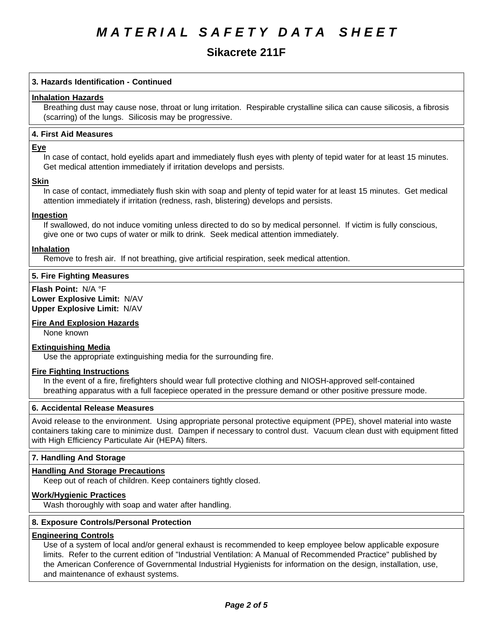# *MATERIAL SAFETY DATA SHEET*

# Sikacrete 211F

# **3. Hazards Identification - Continued**

#### **Inhalation Hazards**

Breathing dust may cause nose, throat or lung irritation. Respirable crystalline silica can cause silicosis, a fibrosis (scarring) of the lungs. Silicosis may be progressive.

#### **4.First AidMeasures**

#### **Eye**

In case of contact, hold eyelids apart and immediately flush eyes with plenty of tepid water for at least 15 minutes. Get medical attention immediately if irritation develops and persists.

#### **Skin**

In case of contact, immediately flush skin with soap and plenty of tepid water for at least 15 minutes. Get medical attention immediately if irritation (redness, rash, blistering) develops and persists.

#### **Ingestion**

If swallowed, do not induce vomiting unless directed to do so by medical personnel. If victim is fully conscious, give one or two cups of water or milk to drink. Seek medical attention immediately.

#### **Inhalation**

Remove to fresh air. If not breathing, give artificial respiration, seek medical attention.

# **5. Fire Fighting Measures**

**Flash Point:** N/A°F **Lower Explosive Limit:** N/AV **Upper Explosive Limit:** N/AV

# **Fire And Explosion Hazards**

None known

#### **Extinguishing Media**

Use the appropriate extinguishing media for the surrounding fire.

#### **Fire Fighting Instructions**

In the event of a fire, firefighters should wear full protective clothing and NIOSH-approved self-contained breathing apparatus with a full facepiece operated in the pressure demand or other positive pressure mode.

#### **6. Accidental Release Measures**

Avoid release to the environment. Using appropriate personal protective equipment (PPE), shovel material into waste containers taking care to minimize dust. Dampen if necessary to control dust. Vacuum clean dust with equipment fitted with High Efficiency Particulate Air (HEPA) filters.

# **7. Handling And Storage**

# **Handling And Storage Precautions**

Keep out of reach of children. Keep containers tightly closed.

# **Work/Hygienic Practices**

Wash thoroughly with soap and water after handling.

#### **8. Exposure Controls/Personal Protection**

# **Engineering Controls**

Use of a system of local and/or general exhaust is recommended to keep employee below applicable exposure limits. Refer to the current edition of "Industrial Ventilation: A Manual of Recommended Practice" published by the American Conference of Governmental Industrial Hygienists for information on the design, installation, use, and maintenance of exhaust systems.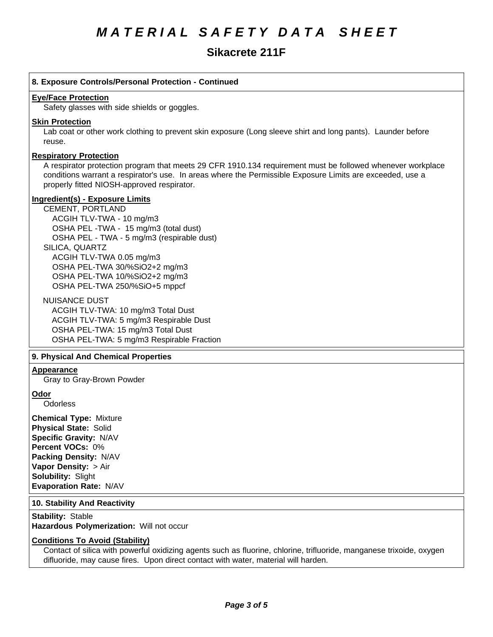# **Sikacrete 211F**

# **8. Exposure Controls/Personal Protection - Continued**

#### **Eye/Face Protection**

Safety glasses with side shields or goggles.

#### **Skin Protection**

Lab coat or other work clothing to prevent skin exposure (Long sleeve shirt and long pants). Launder before reuse.

# **Respiratory Protection**

A respirator protection program that meets 29 CFR 1910.134 requirement must be followed whenever workplace conditions warrant a respirator's use. In areas where the Permissible Exposure Limits are exceeded, use a properly fitted NIOSH-approved respirator.

#### **Ingredient(s) - Exposure Limits**

CEMENT, PORTLAND ACGIHTLV-TWA-10 mg/m3 OSHA PEL-TWA - 15 mg/m3 (total dust) OSHA PEL - TWA - 5 mg/m3 (respirable dust) SILICA, QUARTZ ACGIH TLV-TWA 0.05 mg/m3 OSHA PEL-TWA 30/%SiO2+2 mg/m3 OSHA PEL-TWA 10/%SiO2+2 mg/m3 OSHA PEL-TWA 250/%SiO+5 mppcf

NUISANCE DUST

ACGIH TLV-TWA: 10 mg/m3 Total Dust ACGIH TLV-TWA: 5 mg/m3 Respirable Dust OSHA PEL-TWA: 15 mg/m3 Total Dust OSHA PEL-TWA: 5 mg/m3 Respirable Fraction

# **9. PhysicalAnd Chemical Properties**

# **Appearance**

Gray to Gray-Brown Powder

# **Odor**

**Odorless** 

**Chemical Type:** Mixture **Physical State:** Solid **Specific Gravity:** N/AV **Percent VOCs:** 0% **Packing Density:** N/AV **Vapor Density: > Air Solubility: Slight Evaporation Rate:** N/AV

#### **10. Stability And Reactivity**

**Stability: Stable Hazardous Polymerization: Will not occur** 

# **Conditions To Avoid (Stability)**

Contact of silica with powerful oxidizing agents such as fluorine, chlorine, trifluoride, manganese trixoide, oxygen difluoride, may cause fires. Upon direct contact with water, material will harden.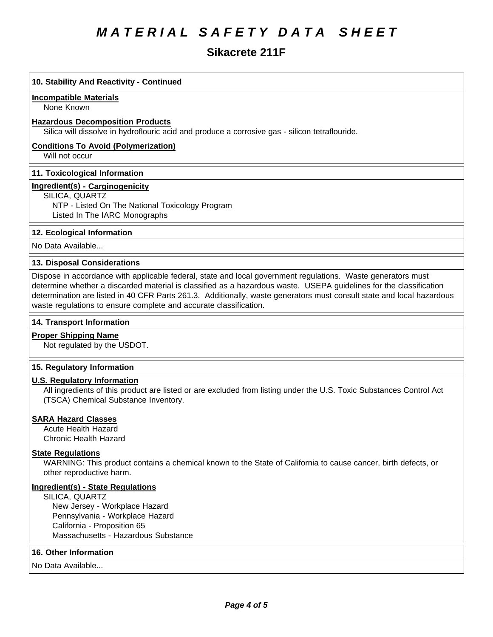# *MATERIAL SAFETY DATA SHEET*

# **Sikacrete 211F**

# **10. Stability And Reactivity - Continued**

#### **Incompatible Materials**

None Known

#### **Hazardous Decomposition Products**

Silica will dissolve in hydroflouric acid and produce a corrosive gas - silicon tetraflouride.

# **Conditions To Avoid (Polymerization)**

Will not occur

# **11. Toxicological Information**

# **Ingredient(s) - Carginogenicity**

SILICA, QUARTZ

NTP - Listed On The National Toxicology Program Listed In The IARC Monographs

# **12. Ecological Information**

No Data Available...

# **13. Disposal Considerations**

Dispose in accordance with applicable federal, state and local government regulations. Waste generators must determine whether a discarded material is classified as a hazardous waste. USEPA quidelines for the classification determination are listed in 40 CFR Parts 261.3. Additionally, waste generators must consult state and local hazardous waste regulations to ensure complete and accurate classification.

# **14. Transport Information**

# **Proper Shipping Name**

Not regulated by the USDOT.

# **15. Regulatory Information**

# **U.S. Regulatory Information**

All ingredients of this product are listed or are excluded from listing under the U.S. Toxic Substances Control Act (TSCA) Chemical Substance Inventory.

#### **SARA Hazard Classes**

Acute Health Hazard Chronic Health Hazard

# **State Regulations**

WARNING: This product contains a chemical known to the State of California to cause cancer, birth defects, or other reproductive harm.

#### **Ingredient(s) - State Regulations**

SILICA, QUARTZ New Jersey - Workplace Hazard Pennsylvania - Workplace Hazard California - Proposition 65 Massachusetts - Hazardous Substance

# **16. Other Information**

No Data Available...